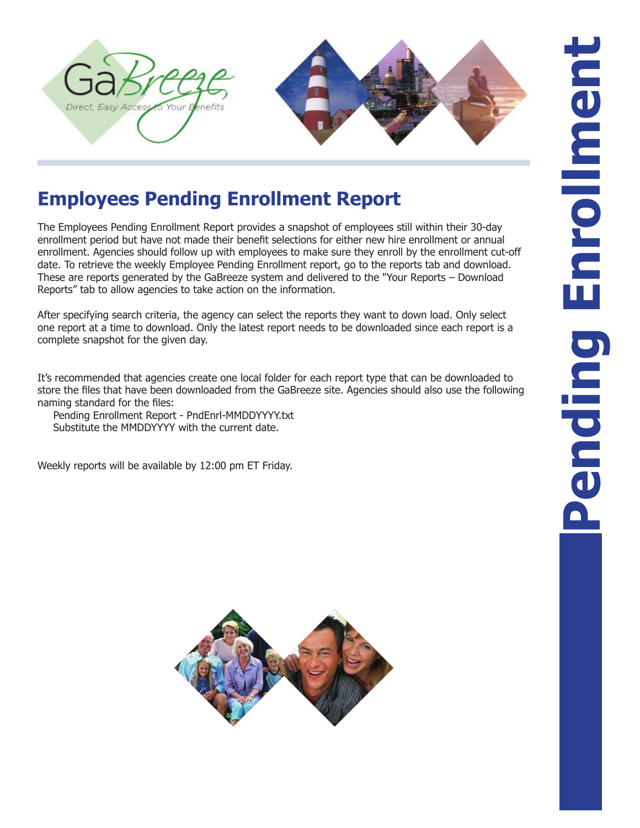

## **Employees Pending Enrollment Report**

The Employees Pending Enrollment Report provides a snapshot of employees still within their 30-day enrollment period but have not made their benefit selections for either new hire enrollment or annual enrollment. Agencies should follow up with employees to make sure they enroll by the enrollment cut-off date. To retrieve the weekly Employee Pending Enrollment report, go to the reports tab and download. These are reports generated by the GaBreeze system and delivered to the "Your Reports – Download Reports" tab to allow agencies to take action on the information.

After specifying search criteria, the agency can select the reports they want to down load. Only select one report at a time to download. Only the latest report needs to be downloaded since each report is a complete snapshot for the given day.

It's recommended that agencies create one local folder for each report type that can be downloaded to store the files that have been downloaded from the GaBreeze site. Agencies should also use the following naming standard for the files:

Pending Enrollment Report - PndEnrl-MMDDYYYY.txt Substitute the MMDDYYYY with the current date.

Weekly reports will be available by 12:00 pm ET Friday.